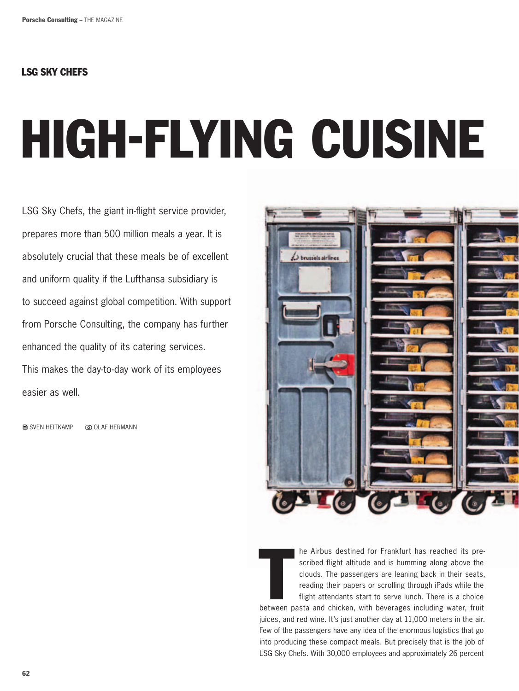## LSG Sky chefs

# High-Flying Cuisine

LSG Sky Chefs, the giant in-flight service provider, prepares more than 500 million meals a year. It is absolutely crucial that these meals be of excellent and uniform quality if the Lufthansa subsidiary is to succeed against global competition. With support from Porsche Consulting, the company has further enhanced the quality of its catering services. This makes the day-to-day work of its employees easier as well.

**A** SVEN HEITKAMP @ OLAF HERMANN



In the Airbus destined for Frankfurt has reached its pre-<br>scribed flight altitude and is humming along above the<br>clouds. The passengers are leaning back in their seats,<br>reading their papers or scrolling through iPads while he Airbus destined for Frankfurt has reached its prescribed flight altitude and is humming along above the clouds. The passengers are leaning back in their seats, reading their papers or scrolling through iPads while the flight attendants start to serve lunch. There is a choice

juices, and red wine. It's just another day at 11,000 meters in the air. Few of the passengers have any idea of the enormous logistics that go into producing these compact meals. But precisely that is the job of LSG Sky Chefs. With 30,000 employees and approximately 26 percent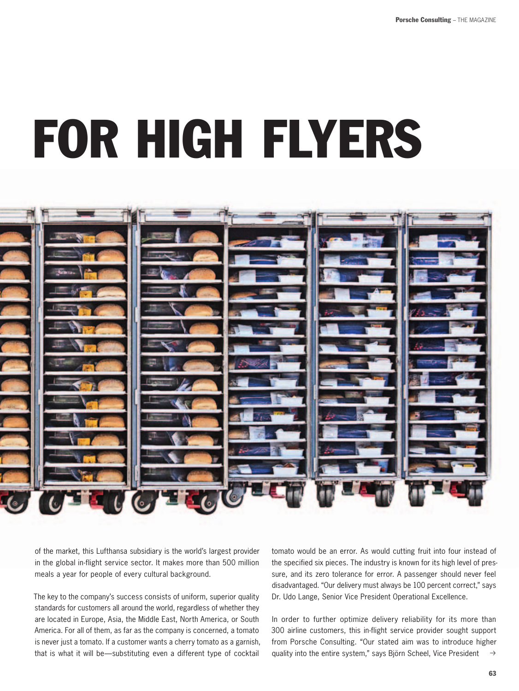## for High Flyers



of the market, this Lufthansa subsidiary is the world's largest provider in the global in-flight service sector. It makes more than 500 million meals a year for people of every cultural background.

The key to the company's success consists of uniform, superior quality standards for customers all around the world, regardless of whether they are located in Europe, Asia, the Middle East, North America, or South America. For all of them, as far as the company is concerned, a tomato is never just a tomato. If a customer wants a cherry tomato as a garnish, that is what it will be—substituting even a different type of cocktail

tomato would be an error. As would cutting fruit into four instead of the specified six pieces. The industry is known for its high level of pressure, and its zero tolerance for error. A passenger should never feel disadvantaged. "Our delivery must always be 100 percent correct," says Dr. Udo Lange, Senior Vice President Operational Excellence.

 $\rightarrow$ In order to further optimize delivery reliability for its more than 300 airline customers, this in-flight service provider sought support from Porsche Consulting. "Our stated aim was to introduce higher quality into the entire system," says Björn Scheel, Vice President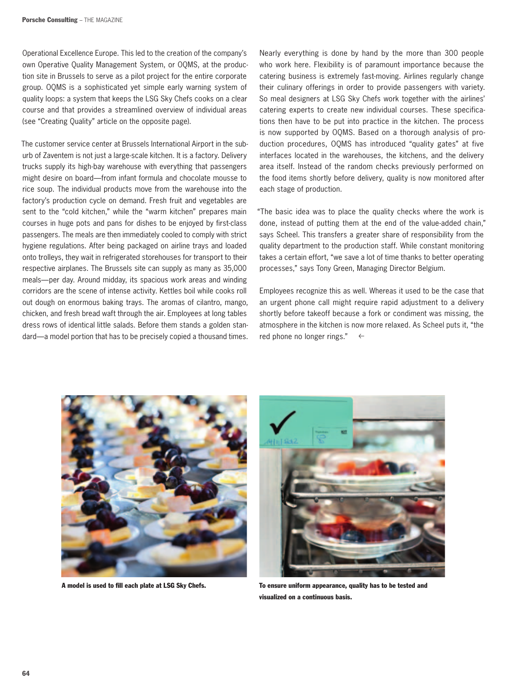Operational Excellence Europe. This led to the creation of the company's own Operative Quality Management System, or OQMS, at the production site in Brussels to serve as a pilot project for the entire corporate group. OQMS is a sophisticated yet simple early warning system of quality loops: a system that keeps the LSG Sky Chefs cooks on a clear course and that provides a streamlined overview of individual areas (see "Creating Quality" article on the opposite page).

The customer service center at Brussels International Airport in the suburb of Zaventem is not just a large-scale kitchen. It is a factory. Delivery trucks supply its high-bay warehouse with everything that passengers might desire on board—from infant formula and chocolate mousse to rice soup. The individual products move from the warehouse into the factory's production cycle on demand. Fresh fruit and vegetables are sent to the "cold kitchen," while the "warm kitchen" prepares main courses in huge pots and pans for dishes to be enjoyed by first-class passengers. The meals are then immediately cooled to comply with strict hygiene regulations. After being packaged on airline trays and loaded onto trolleys, they wait in refrigerated storehouses for transport to their respective airplanes. The Brussels site can supply as many as 35,000 meals—per day. Around midday, its spacious work areas and winding corridors are the scene of intense activity. Kettles boil while cooks roll out dough on enormous baking trays. The aromas of cilantro, mango, chicken, and fresh bread waft through the air. Employees at long tables dress rows of identical little salads. Before them stands a golden standard—a model portion that has to be precisely copied a thousand times. Nearly everything is done by hand by the more than 300 people who work here. Flexibility is of paramount importance because the catering business is extremely fast-moving. Airlines regularly change their culinary offerings in order to provide passengers with variety. So meal designers at LSG Sky Chefs work together with the airlines' catering experts to create new individual courses. These specifications then have to be put into practice in the kitchen. The process is now supported by OQMS. Based on a thorough analysis of production procedures, OQMS has introduced "quality gates" at five interfaces located in the warehouses, the kitchens, and the delivery area itself. Instead of the random checks previously performed on the food items shortly before delivery, quality is now monitored after each stage of production.

"The basic idea was to place the quality checks where the work is done, instead of putting them at the end of the value-added chain," says Scheel. This transfers a greater share of responsibility from the quality department to the production staff. While constant monitoring takes a certain effort, "we save a lot of time thanks to better operating processes," says Tony Green, Managing Director Belgium.

Employees recognize this as well. Whereas it used to be the case that an urgent phone call might require rapid adjustment to a delivery shortly before takeoff because a fork or condiment was missing, the atmosphere in the kitchen is now more relaxed. As Scheel puts it, "the red phone no longer rings."  $\leftarrow$ 





A model is used to fill each plate at LSG Sky Chefs. To ensure uniform appearance, quality has to be tested and visualized on a continuous basis.